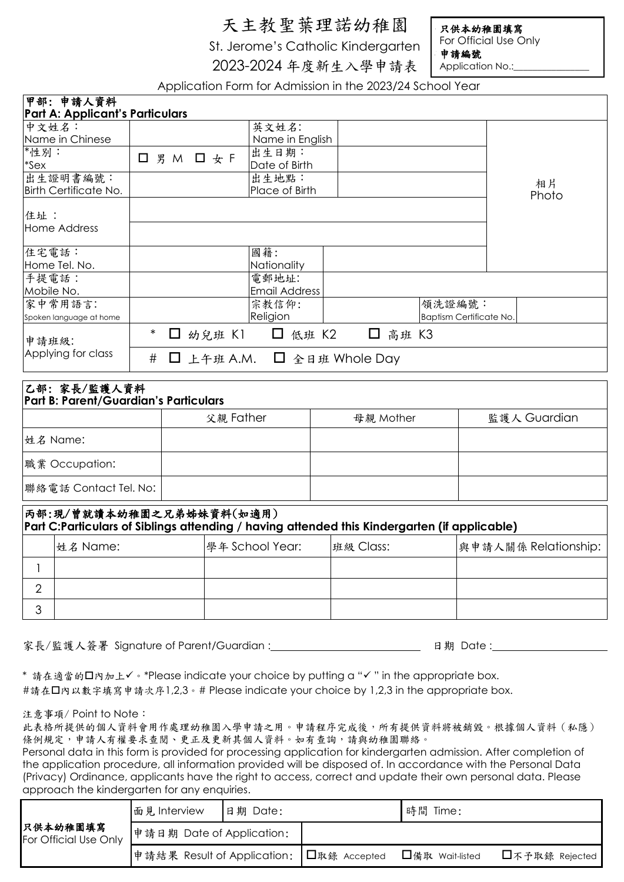## 天主教聖葉理諾幼稚園

St. Jerome's Catholic Kindergarten

2023-2024 年度新生入學申請表

只供本幼稚園填寫 For Official Use Only 申請編號

Application No.:

Application Form for Admission in the 2023/24 School Year

| 甲部: 申請人資料                                                                                    |        |             |                 |          | <b>TRANSPORTED TO A REPORT THE THIS 2020/24 JOHN HOURS</b> |           |  |         |              |                         |       |
|----------------------------------------------------------------------------------------------|--------|-------------|-----------------|----------|------------------------------------------------------------|-----------|--|---------|--------------|-------------------------|-------|
| <b>Part A: Applicant's Particulars</b>                                                       |        |             |                 |          |                                                            |           |  |         |              |                         |       |
| 中文姓名:                                                                                        |        |             |                 |          | 英文姓名:                                                      |           |  |         |              |                         |       |
| Name in Chinese<br>*性別:                                                                      |        |             |                 |          | Name in English<br>出生日期:                                   |           |  |         |              |                         |       |
| *Sex                                                                                         |        | □ 男 M □ 女 F |                 |          | Date of Birth                                              |           |  |         |              |                         |       |
| 出生證明書編號:                                                                                     |        |             |                 |          | 出生地點:                                                      |           |  |         |              |                         |       |
| <b>Birth Certificate No.</b>                                                                 |        |             |                 |          | Place of Birth                                             |           |  |         |              |                         | 相片    |
|                                                                                              |        |             |                 |          |                                                            |           |  |         |              |                         | Photo |
| 住址:                                                                                          |        |             |                 |          |                                                            |           |  |         |              |                         |       |
| Home Address                                                                                 |        |             |                 |          |                                                            |           |  |         |              |                         |       |
|                                                                                              |        |             |                 |          |                                                            |           |  |         |              |                         |       |
| 住宅電話:                                                                                        |        |             |                 |          | 國籍:                                                        |           |  |         |              |                         |       |
| Home Tel. No.                                                                                |        |             |                 |          | Nationality                                                |           |  |         |              |                         |       |
| 手提電話:<br>Mobile No.                                                                          |        |             |                 |          | 電郵地址:<br><b>Email Address</b>                              |           |  |         |              |                         |       |
| 家中常用語言:                                                                                      |        |             |                 |          | 宗教信仰:                                                      |           |  |         | 領洗證編號:       |                         |       |
| Spoken language at home                                                                      |        |             |                 |          | Religion                                                   |           |  |         |              | Baptism Certificate No. |       |
|                                                                                              | $\ast$ |             |                 |          |                                                            |           |  |         |              |                         |       |
| 申請班級:                                                                                        |        |             |                 | □ 幼兒班 K1 | □ 低班 K2                                                    |           |  | □ 高班 K3 |              |                         |       |
| Applying for class                                                                           | #      | $\Box$      |                 |          | 上午班 A.M. $\Box$ 全日班 Whole Day                              |           |  |         |              |                         |       |
|                                                                                              |        |             |                 |          |                                                            |           |  |         |              |                         |       |
| 乙部:家長/監護人資料                                                                                  |        |             |                 |          |                                                            |           |  |         |              |                         |       |
| Part B: Parent/Guardian's Particulars                                                        |        |             |                 |          |                                                            |           |  |         |              |                         |       |
|                                                                                              |        | 父親 Father   |                 |          | 母親 Mother                                                  |           |  |         | 監護人 Guardian |                         |       |
| 姓名 Name:                                                                                     |        |             |                 |          |                                                            |           |  |         |              |                         |       |
| 職業 Occupation:                                                                               |        |             |                 |          |                                                            |           |  |         |              |                         |       |
|                                                                                              |        |             |                 |          |                                                            |           |  |         |              |                         |       |
| 聯絡電話 Contact Tel. No:                                                                        |        |             |                 |          |                                                            |           |  |         |              |                         |       |
| 丙部:現/曾就讀本幼稚園之兄弟姊妹資料(如適用)                                                                     |        |             |                 |          |                                                            |           |  |         |              |                         |       |
| Part C:Particulars of Siblings attending / having attended this Kindergarten (if applicable) |        |             |                 |          |                                                            |           |  |         |              |                         |       |
| 姓名 Name:                                                                                     |        |             | 學年 School Year: |          |                                                            | 班級 Class: |  |         |              | 與申請人關係 Relationship:    |       |
| $\mathbf{1}$                                                                                 |        |             |                 |          |                                                            |           |  |         |              |                         |       |
| $\overline{2}$                                                                               |        |             |                 |          |                                                            |           |  |         |              |                         |       |
| 3                                                                                            |        |             |                 |          |                                                            |           |  |         |              |                         |       |
|                                                                                              |        |             |                 |          |                                                            |           |  |         |              |                         |       |

家長/監護人簽署 Signature of Parent/Guardian : 日期 Date :

\* 請在適當的口內加上√。\*Please indicate your choice by putting a "√" in the appropriate box. #請在口內以數字填寫申請次序1,2,3。# Please indicate your choice by 1,2,3 in the appropriate box.

注意事項/ Point to Note:

此表格所提供的個人資料會用作處理幼稚園入學申請之用。申請程序完成後,所有提供資料將被銷毀。根據個人資料(私隱) 條例規定,申請人有權要求查閱、更正及更新其個人資料。如有查詢,請與幼稚園聯絡。

Personal data in this form is provided for processing application for kindergarten admission. After completion of the application procedure, all information provided will be disposed of. In accordance with the Personal Data (Privacy) Ordinance, applicants have the right to access, correct and update their own personal data. Please approach the kindergarten for any enquiries.

| 只供本幼稚園填寫<br>For Official Use Only | 面見 Interview                             | 日期 Date: | 時間 Time:        |                |  |
|-----------------------------------|------------------------------------------|----------|-----------------|----------------|--|
|                                   | 申請日期 Date of Application:                |          |                 |                |  |
|                                   | 申請結果 Result of Application: 口取錄 Accepted |          | □備取 Wait-listed | □不予取錄 Rejected |  |